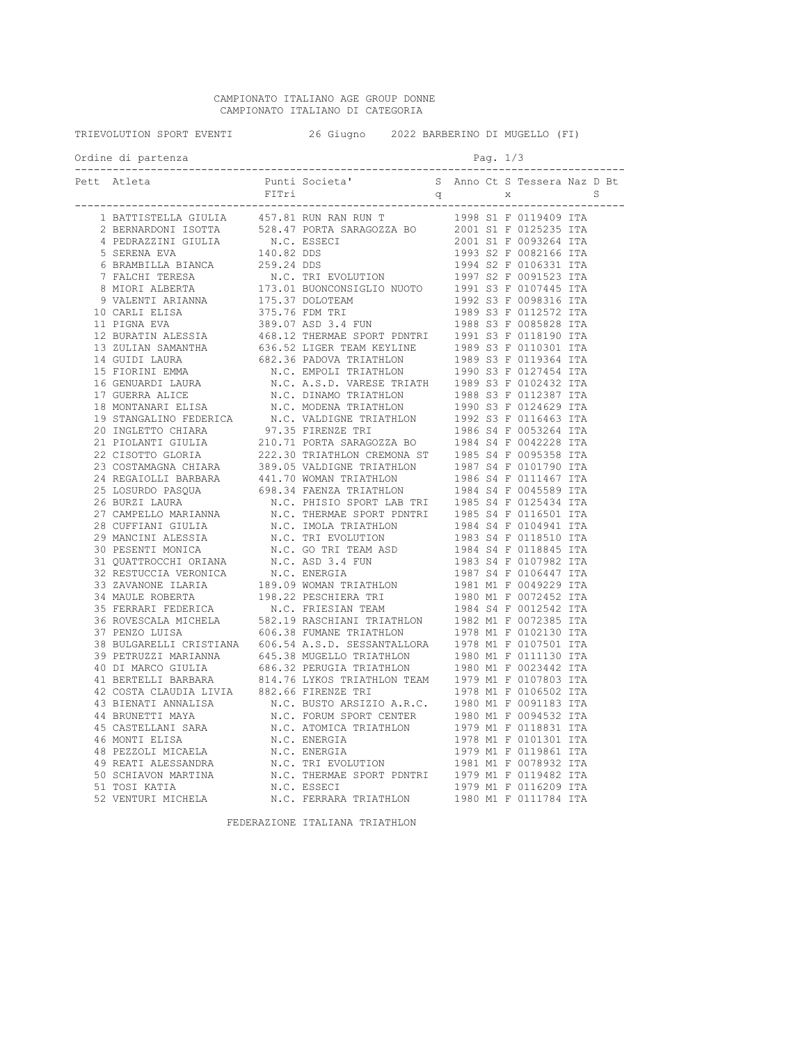## CAMPIONATO ITALIANO AGE GROUP DONNE CAMPIONATO ITALIANO DI CATEGORIA

|                    | TRIEAOTOLIOM PROKI RARMIT AND SO ATAGUO                                                                                                                                                                                                                                                   |       |                |  |            | YARR RAKREKIMA DI MAGETTA (LI) |  |  |
|--------------------|-------------------------------------------------------------------------------------------------------------------------------------------------------------------------------------------------------------------------------------------------------------------------------------------|-------|----------------|--|------------|--------------------------------|--|--|
| Ordine di partenza |                                                                                                                                                                                                                                                                                           |       |                |  | Pag. $1/3$ |                                |  |  |
|                    | Pett Atleta<br>$\begin{smallmatrix} 16 & 0.164 & 0.164 & 0.164 & 0.164 & 0.164 & 0.164 & 0.164 & 0.164 & 0.164 & 0.164 & 0.164 & 0.164 & 0.164 & 0.164 & 0.164 & 0.164 & 0.164 & 0.164 & 0.164 & 0.164 & 0.164 & 0.164 & 0.164 & 0.164 & 0.164 & 0.164 & 0.164 & 0.164 & 0.164 & 0.164 &$ | FITri | Punti Societa' |  |            |                                |  |  |
|                    |                                                                                                                                                                                                                                                                                           |       |                |  |            |                                |  |  |
|                    |                                                                                                                                                                                                                                                                                           |       |                |  |            |                                |  |  |
|                    |                                                                                                                                                                                                                                                                                           |       |                |  |            |                                |  |  |
|                    |                                                                                                                                                                                                                                                                                           |       |                |  |            |                                |  |  |
|                    |                                                                                                                                                                                                                                                                                           |       |                |  |            |                                |  |  |
|                    |                                                                                                                                                                                                                                                                                           |       |                |  |            |                                |  |  |
|                    |                                                                                                                                                                                                                                                                                           |       |                |  |            |                                |  |  |
|                    |                                                                                                                                                                                                                                                                                           |       |                |  |            |                                |  |  |
|                    |                                                                                                                                                                                                                                                                                           |       |                |  |            |                                |  |  |
|                    |                                                                                                                                                                                                                                                                                           |       |                |  |            |                                |  |  |
|                    |                                                                                                                                                                                                                                                                                           |       |                |  |            |                                |  |  |
|                    |                                                                                                                                                                                                                                                                                           |       |                |  |            |                                |  |  |
|                    |                                                                                                                                                                                                                                                                                           |       |                |  |            |                                |  |  |
|                    |                                                                                                                                                                                                                                                                                           |       |                |  |            |                                |  |  |
|                    |                                                                                                                                                                                                                                                                                           |       |                |  |            |                                |  |  |
|                    |                                                                                                                                                                                                                                                                                           |       |                |  |            |                                |  |  |
|                    |                                                                                                                                                                                                                                                                                           |       |                |  |            |                                |  |  |
|                    |                                                                                                                                                                                                                                                                                           |       |                |  |            |                                |  |  |
|                    |                                                                                                                                                                                                                                                                                           |       |                |  |            |                                |  |  |
|                    |                                                                                                                                                                                                                                                                                           |       |                |  |            |                                |  |  |
|                    |                                                                                                                                                                                                                                                                                           |       |                |  |            |                                |  |  |
|                    |                                                                                                                                                                                                                                                                                           |       |                |  |            |                                |  |  |
|                    |                                                                                                                                                                                                                                                                                           |       |                |  |            |                                |  |  |
|                    |                                                                                                                                                                                                                                                                                           |       |                |  |            |                                |  |  |
|                    |                                                                                                                                                                                                                                                                                           |       |                |  |            |                                |  |  |
|                    |                                                                                                                                                                                                                                                                                           |       |                |  |            |                                |  |  |
|                    |                                                                                                                                                                                                                                                                                           |       |                |  |            |                                |  |  |
|                    |                                                                                                                                                                                                                                                                                           |       |                |  |            |                                |  |  |
|                    |                                                                                                                                                                                                                                                                                           |       |                |  |            |                                |  |  |
|                    |                                                                                                                                                                                                                                                                                           |       |                |  |            |                                |  |  |
|                    |                                                                                                                                                                                                                                                                                           |       |                |  |            |                                |  |  |
|                    |                                                                                                                                                                                                                                                                                           |       |                |  |            |                                |  |  |
|                    |                                                                                                                                                                                                                                                                                           |       |                |  |            |                                |  |  |
|                    |                                                                                                                                                                                                                                                                                           |       |                |  |            |                                |  |  |
|                    |                                                                                                                                                                                                                                                                                           |       |                |  |            |                                |  |  |
|                    |                                                                                                                                                                                                                                                                                           |       |                |  |            |                                |  |  |
|                    |                                                                                                                                                                                                                                                                                           |       |                |  |            |                                |  |  |
|                    |                                                                                                                                                                                                                                                                                           |       |                |  |            |                                |  |  |
|                    |                                                                                                                                                                                                                                                                                           |       |                |  |            |                                |  |  |
|                    |                                                                                                                                                                                                                                                                                           |       |                |  |            |                                |  |  |
|                    |                                                                                                                                                                                                                                                                                           |       |                |  |            |                                |  |  |
|                    |                                                                                                                                                                                                                                                                                           |       |                |  |            |                                |  |  |
|                    |                                                                                                                                                                                                                                                                                           |       |                |  |            |                                |  |  |
|                    |                                                                                                                                                                                                                                                                                           |       |                |  |            |                                |  |  |
|                    |                                                                                                                                                                                                                                                                                           |       |                |  |            |                                |  |  |
|                    |                                                                                                                                                                                                                                                                                           |       |                |  |            |                                |  |  |
|                    |                                                                                                                                                                                                                                                                                           |       |                |  |            |                                |  |  |
|                    |                                                                                                                                                                                                                                                                                           |       |                |  |            |                                |  |  |
|                    |                                                                                                                                                                                                                                                                                           |       |                |  |            |                                |  |  |
|                    |                                                                                                                                                                                                                                                                                           |       |                |  |            |                                |  |  |
|                    |                                                                                                                                                                                                                                                                                           |       |                |  |            |                                |  |  |

## TRIEVOLUTION SPORT EVENTI 26 Giugno 2022 BARBERINO DI MUGELLO (FI)

FEDERAZIONE ITALIANA TRIATHLON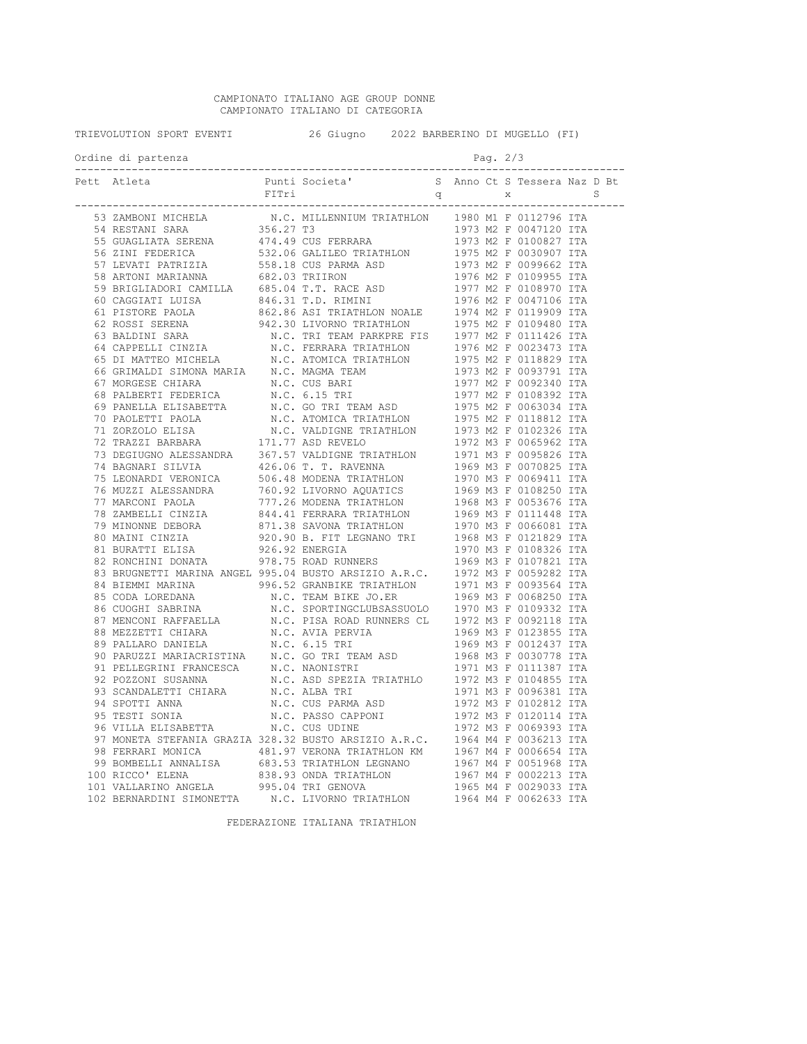## CAMPIONATO ITALIANO AGE GROUP DONNE CAMPIONATO ITALIANO DI CATEGORIA

| TRIEVOLUTION SPORT EVENTI              |             |  | 26 Giugno 2022 BARBERINO DI MUGELLO (FI)                   |  |          |  |  |
|----------------------------------------|-------------|--|------------------------------------------------------------|--|----------|--|--|
| Ordine di partenza<br>---------------- |             |  |                                                            |  | Pag. 2/3 |  |  |
|                                        | Pett Atleta |  | Punti Societa' S Anno Ct S Tessera Naz D Bt<br>FITri q x S |  |          |  |  |
|                                        |             |  |                                                            |  |          |  |  |
|                                        |             |  |                                                            |  |          |  |  |
|                                        |             |  |                                                            |  |          |  |  |
|                                        |             |  |                                                            |  |          |  |  |
|                                        |             |  |                                                            |  |          |  |  |
|                                        |             |  |                                                            |  |          |  |  |
|                                        |             |  |                                                            |  |          |  |  |
|                                        |             |  |                                                            |  |          |  |  |
|                                        |             |  |                                                            |  |          |  |  |
|                                        |             |  |                                                            |  |          |  |  |
|                                        |             |  |                                                            |  |          |  |  |
|                                        |             |  |                                                            |  |          |  |  |
|                                        |             |  |                                                            |  |          |  |  |
|                                        |             |  |                                                            |  |          |  |  |
|                                        |             |  |                                                            |  |          |  |  |
|                                        |             |  |                                                            |  |          |  |  |
|                                        |             |  |                                                            |  |          |  |  |
|                                        |             |  |                                                            |  |          |  |  |
|                                        |             |  |                                                            |  |          |  |  |
|                                        |             |  |                                                            |  |          |  |  |
|                                        |             |  |                                                            |  |          |  |  |
|                                        |             |  |                                                            |  |          |  |  |
|                                        |             |  |                                                            |  |          |  |  |
|                                        |             |  |                                                            |  |          |  |  |
|                                        |             |  |                                                            |  |          |  |  |
|                                        |             |  |                                                            |  |          |  |  |
|                                        |             |  |                                                            |  |          |  |  |
|                                        |             |  |                                                            |  |          |  |  |
|                                        |             |  |                                                            |  |          |  |  |
|                                        |             |  |                                                            |  |          |  |  |
|                                        |             |  |                                                            |  |          |  |  |
|                                        |             |  |                                                            |  |          |  |  |
|                                        |             |  |                                                            |  |          |  |  |
|                                        |             |  |                                                            |  |          |  |  |
|                                        |             |  |                                                            |  |          |  |  |
|                                        |             |  |                                                            |  |          |  |  |
|                                        |             |  |                                                            |  |          |  |  |
|                                        |             |  |                                                            |  |          |  |  |
|                                        |             |  |                                                            |  |          |  |  |
|                                        |             |  |                                                            |  |          |  |  |
|                                        |             |  |                                                            |  |          |  |  |
|                                        |             |  |                                                            |  |          |  |  |
|                                        |             |  |                                                            |  |          |  |  |
|                                        |             |  |                                                            |  |          |  |  |
|                                        |             |  |                                                            |  |          |  |  |
|                                        |             |  |                                                            |  |          |  |  |
|                                        |             |  |                                                            |  |          |  |  |
|                                        |             |  |                                                            |  |          |  |  |
|                                        |             |  |                                                            |  |          |  |  |

FEDERAZIONE ITALIANA TRIATHLON